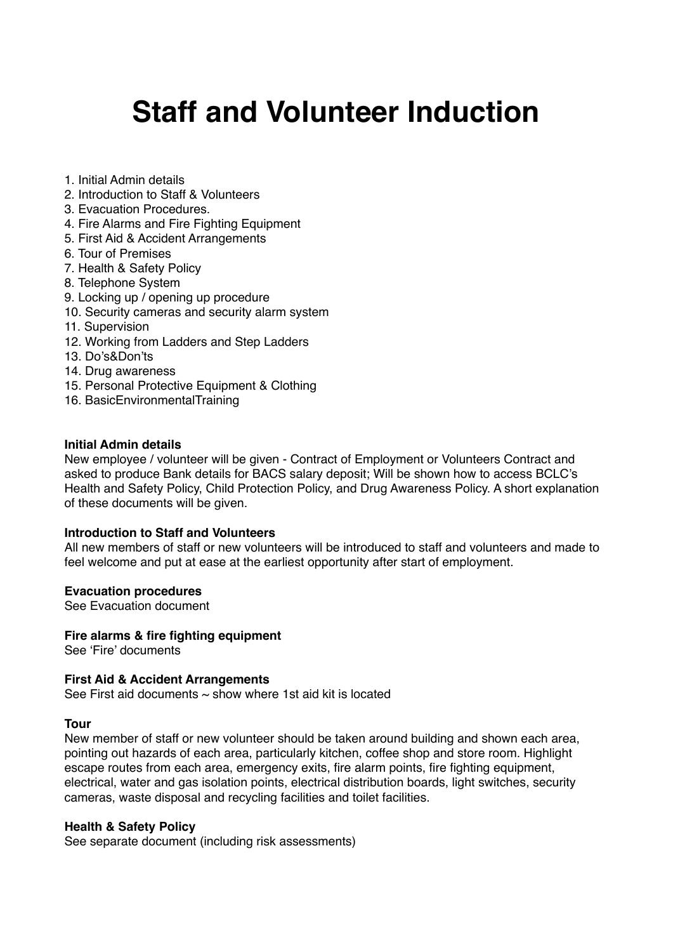# **Staff and Volunteer Induction**

- 1. Initial Admin details
- 2. Introduction to Staff & Volunteers
- 3. Evacuation Procedures.
- 4. Fire Alarms and Fire Fighting Equipment
- 5. First Aid & Accident Arrangements
- 6. Tour of Premises
- 7. Health & Safety Policy
- 8. Telephone System
- 9. Locking up / opening up procedure
- 10. Security cameras and security alarm system
- 11. Supervision
- 12. Working from Ladders and Step Ladders
- 13. Do's&Don'ts
- 14. Drug awareness
- 15. Personal Protective Equipment & Clothing
- 16. BasicEnvironmentalTraining

#### **Initial Admin details**

New employee / volunteer will be given - Contract of Employment or Volunteers Contract and asked to produce Bank details for BACS salary deposit; Will be shown how to access BCLC's Health and Safety Policy, Child Protection Policy, and Drug Awareness Policy. A short explanation of these documents will be given.

# **Introduction to Staff and Volunteers**

All new members of staff or new volunteers will be introduced to staff and volunteers and made to feel welcome and put at ease at the earliest opportunity after start of employment.

#### **Evacuation procedures**

See Evacuation document

#### **Fire alarms & fire fighting equipment**

See 'Fire' documents

#### **First Aid & Accident Arrangements**

See First aid documents  $\sim$  show where 1st aid kit is located

#### **Tour**

New member of staff or new volunteer should be taken around building and shown each area, pointing out hazards of each area, particularly kitchen, coffee shop and store room. Highlight escape routes from each area, emergency exits, fire alarm points, fire fighting equipment, electrical, water and gas isolation points, electrical distribution boards, light switches, security cameras, waste disposal and recycling facilities and toilet facilities.

#### **Health & Safety Policy**

See separate document (including risk assessments)